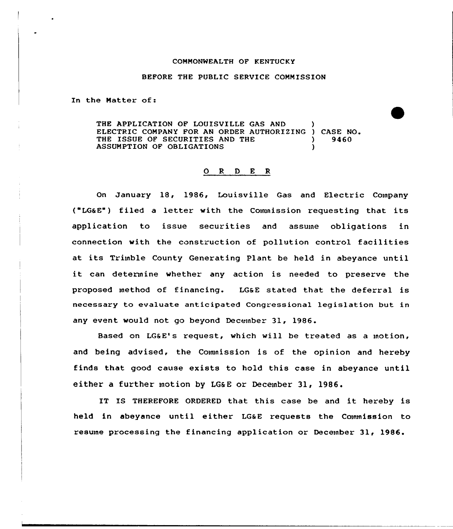## COMMONWEALTH OF KENTUCKY

## BEFORE THE PUBLIC SERVICE COMMISSION

In the Matter of:

THE APPLICATION OF LOUISVILLE GAS AND ELECTRIC COMPANY FOR AN ORDER AUTHORIZING ) CASE NO.<br>THE ISSUE OF SECURITIES AND THE  $\qquad \qquad$  9460 THE ISSUE OF SECURITIES AND THE ASSUMPTION OF OBLIGATIONS )

## 0 <sup>R</sup> <sup>D</sup> <sup>E</sup> <sup>R</sup>

On January 18, 1986, Louisville Gas and Electric Company ("IG&E") filed <sup>a</sup> letter with the Commission requesting that its application to issue securities and assume obligations in connection with the construction of pollution control facilities at its Trimble County Generating Plant be held in abeyance until it can determine whether any action is needed to preserve the proposed method of financing. LG&E stated that the deferral is necessary to evaluate anticipated Congressional legislation but in any event would not go beyond December 31, 1986.

Based on LG&E's request, which will be treated as a motion, and being advised, the Commission is of the opinion and hereby finds that good cause exists to hold this case in abeyance until either a further motion by LG&E or December 31, 1986.

IT IS THEREFORE ORDERED that this case be and it hereby is held in abeyance until either LG&E requests the Commission to resume processing the financing application or December 31, 1986.